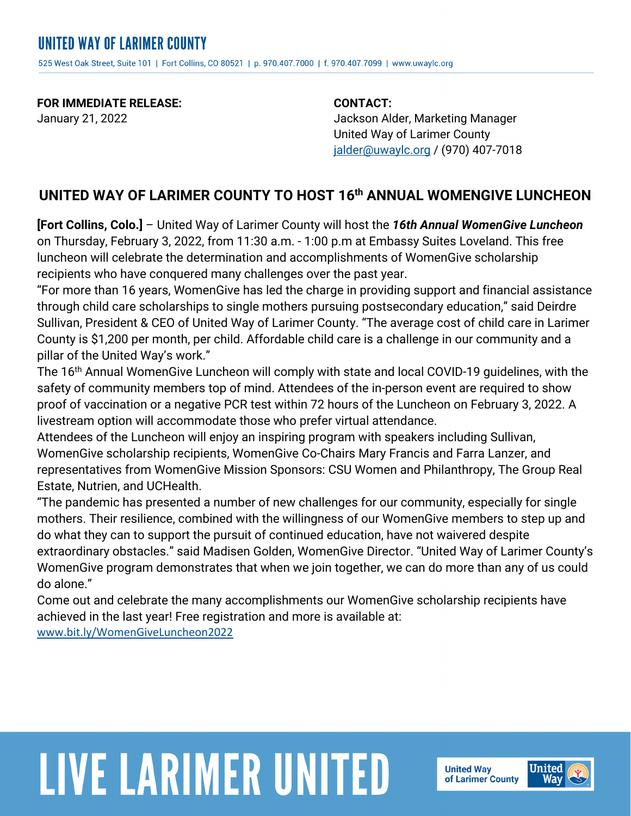**FOR IMMEDIATE RELEASE: CONTACT:**

January 21, 2022 Jackson Alder, Marketing Manager United Way of Larimer County jalder@uwaylc.org / (970) 407-7018

## **UNITED WAY OF LARIMER COUNTY TO HOST 16th ANNUAL WOMENGIVE LUNCHEON**

**[Fort Collins, Colo.]** – United Way of Larimer County will host the *16th Annual WomenGive Luncheon* on Thursday, February 3, 2022, from 11:30 a.m. - 1:00 p.m at Embassy Suites Loveland. This free luncheon will celebrate the determination and accomplishments of WomenGive scholarship recipients who have conquered many challenges over the past year.

"For more than 16 years, WomenGive has led the charge in providing support and financial assistance through child care scholarships to single mothers pursuing postsecondary education," said Deirdre Sullivan, President & CEO of United Way of Larimer County. "The average cost of child care in Larimer County is \$1,200 per month, per child. Affordable child care is a challenge in our community and a pillar of the United Way's work."

The 16<sup>th</sup> Annual WomenGive Luncheon will comply with state and local COVID-19 guidelines, with the safety of community members top of mind. Attendees of the in-person event are required to show proof of vaccination or a negative PCR test within 72 hours of the Luncheon on February 3, 2022. A livestream option will accommodate those who prefer virtual attendance.

Attendees of the Luncheon will enjoy an inspiring program with speakers including Sullivan, WomenGive scholarship recipients, WomenGive Co-Chairs Mary Francis and Farra Lanzer, and representatives from WomenGive Mission Sponsors: CSU Women and Philanthropy, The Group Real Estate, Nutrien, and UCHealth.

"The pandemic has presented a number of new challenges for our community, especially for single mothers. Their resilience, combined with the willingness of our WomenGive members to step up and do what they can to support the pursuit of continued education, have not waivered despite extraordinary obstacles." said Madisen Golden, WomenGive Director. "United Way of Larimer County's WomenGive program demonstrates that when we join together, we can do more than any of us could do alone."

Come out and celebrate the many accomplishments our WomenGive scholarship recipients have achieved in the last year! Free registration and more is available at: www.bit.ly/WomenGiveLuncheon2022

## **LIVE LARIMER UNITED**

**United Way** of Larimer County